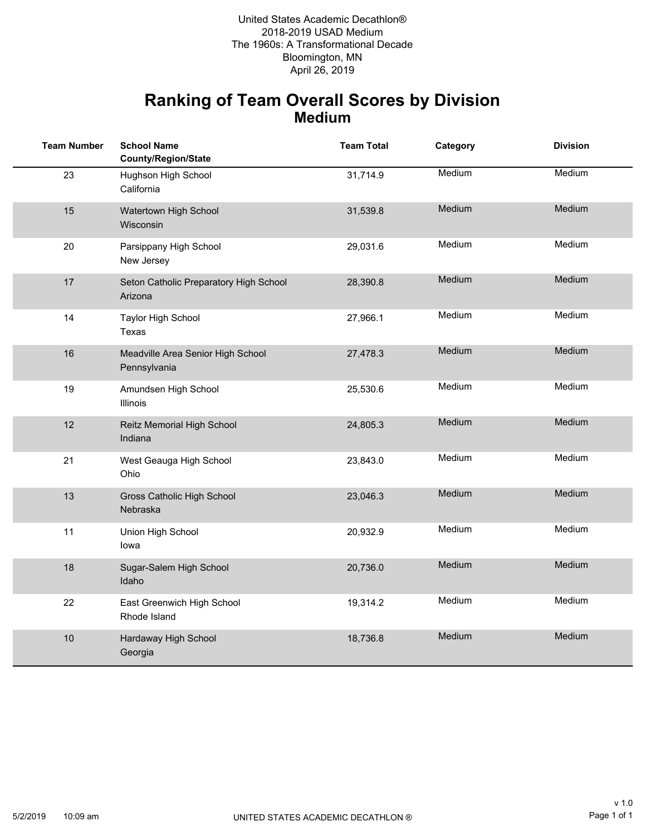Bloomington, MN 2018-2019 USAD Medium The 1960s: A Transformational Decade United States Academic Decathlon® April 26, 2019

#### **Ranking of Team Overall Scores by Division Medium**

| <b>Team Number</b> | <b>School Name</b><br><b>County/Region/State</b>  | <b>Team Total</b> | Category | <b>Division</b> |
|--------------------|---------------------------------------------------|-------------------|----------|-----------------|
| 23                 | Hughson High School<br>California                 | 31,714.9          | Medium   | Medium          |
| 15                 | Watertown High School<br>Wisconsin                | 31,539.8          | Medium   | Medium          |
| 20                 | Parsippany High School<br>New Jersey              | 29,031.6          | Medium   | Medium          |
| 17                 | Seton Catholic Preparatory High School<br>Arizona | 28,390.8          | Medium   | <b>Medium</b>   |
| 14                 | <b>Taylor High School</b><br>Texas                | 27,966.1          | Medium   | Medium          |
| 16                 | Meadville Area Senior High School<br>Pennsylvania | 27,478.3          | Medium   | Medium          |
| 19                 | Amundsen High School<br>Illinois                  | 25,530.6          | Medium   | Medium          |
| 12                 | Reitz Memorial High School<br>Indiana             | 24,805.3          | Medium   | Medium          |
| 21                 | West Geauga High School<br>Ohio                   | 23,843.0          | Medium   | Medium          |
| 13                 | Gross Catholic High School<br>Nebraska            | 23,046.3          | Medium   | Medium          |
| 11                 | Union High School<br>lowa                         | 20,932.9          | Medium   | Medium          |
| 18                 | Sugar-Salem High School<br>Idaho                  | 20,736.0          | Medium   | Medium          |
| 22                 | East Greenwich High School<br>Rhode Island        | 19,314.2          | Medium   | Medium          |
| 10                 | Hardaway High School<br>Georgia                   | 18,736.8          | Medium   | Medium          |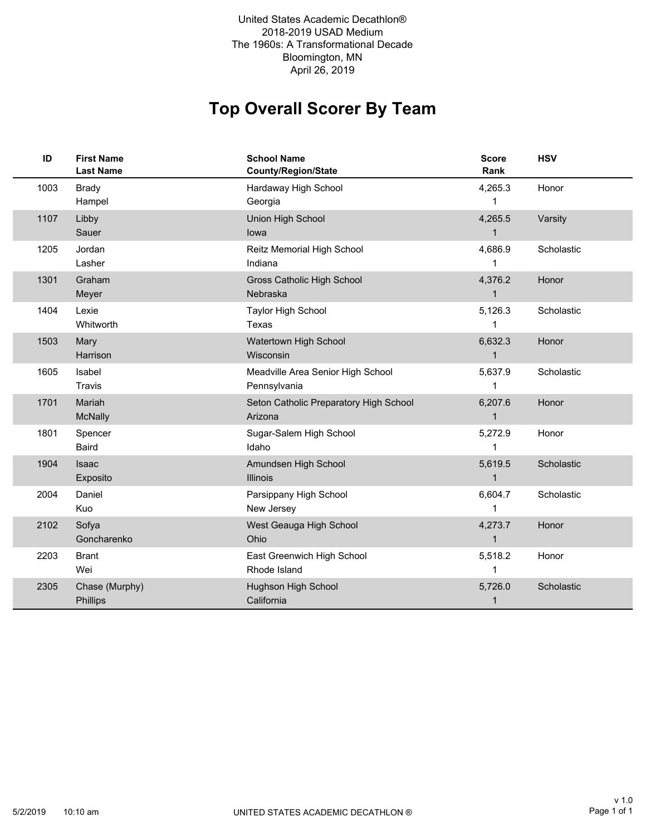2018-2019 USAD Medium The 1960s: A Transformational Decade Bloomington, MN United States Academic Decathlon® April 26, 2019

# **Top Overall Scorer By Team**

| ID   | <b>First Name</b><br><b>Last Name</b> | <b>School Name</b><br>County/Region/State         | <b>Score</b><br>Rank    | <b>HSV</b> |
|------|---------------------------------------|---------------------------------------------------|-------------------------|------------|
| 1003 | <b>Brady</b><br>Hampel                | Hardaway High School<br>Georgia                   | 4,265.3<br>1            | Honor      |
| 1107 | Libby<br>Sauer                        | Union High School<br>lowa                         | 4,265.5<br>$\mathbf{1}$ | Varsity    |
| 1205 | Jordan<br>Lasher                      | Reitz Memorial High School<br>Indiana             | 4,686.9                 | Scholastic |
| 1301 | Graham<br>Meyer                       | Gross Catholic High School<br>Nebraska            | 4,376.2<br>$\mathbf{1}$ | Honor      |
| 1404 | Lexie<br>Whitworth                    | <b>Taylor High School</b><br>Texas                | 5,126.3                 | Scholastic |
| 1503 | Mary<br>Harrison                      | Watertown High School<br>Wisconsin                | 6,632.3<br>$\mathbf{1}$ | Honor      |
| 1605 | Isabel<br>Travis                      | Meadville Area Senior High School<br>Pennsylvania | 5,637.9                 | Scholastic |
| 1701 | Mariah<br>McNally                     | Seton Catholic Preparatory High School<br>Arizona | 6,207.6<br>$\mathbf{1}$ | Honor      |
| 1801 | Spencer<br>Baird                      | Sugar-Salem High School<br>Idaho                  | 5,272.9                 | Honor      |
| 1904 | <b>Isaac</b><br>Exposito              | Amundsen High School<br><b>Illinois</b>           | 5,619.5<br>$\mathbf{1}$ | Scholastic |
| 2004 | Daniel<br>Kuo                         | Parsippany High School<br>New Jersey              | 6,604.7                 | Scholastic |
| 2102 | Sofya<br>Goncharenko                  | West Geauga High School<br>Ohio                   | 4,273.7<br>$\mathbf{1}$ | Honor      |
| 2203 | <b>Brant</b><br>Wei                   | East Greenwich High School<br>Rhode Island        | 5,518.2                 | Honor      |
| 2305 | Chase (Murphy)<br>Phillips            | Hughson High School<br>California                 | 5,726.0<br>1            | Scholastic |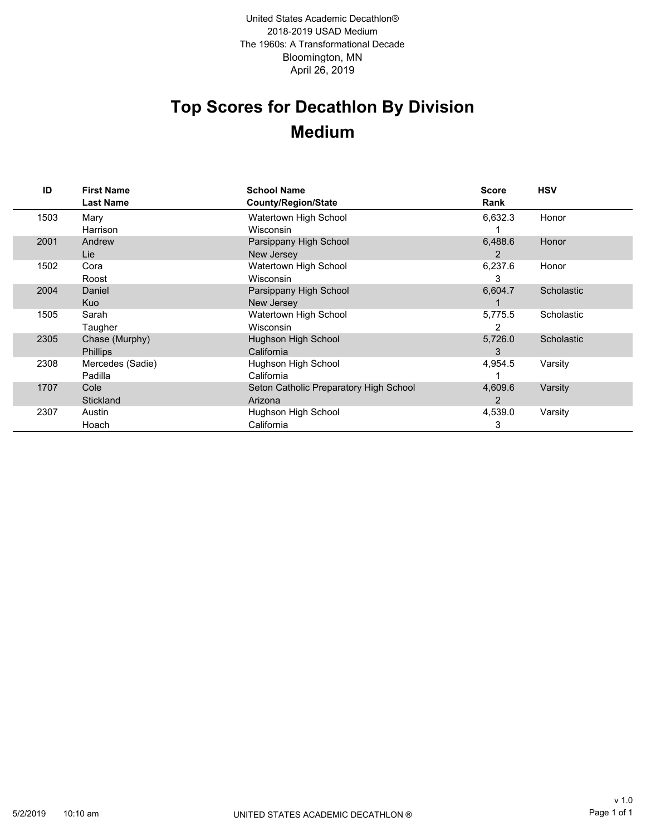Bloomington, MN 2018-2019 USAD Medium The 1960s: A Transformational Decade April 26, 2019 United States Academic Decathlon®

# **Top Scores for Decathlon By Division Medium**

| ID   | <b>First Name</b><br><b>Last Name</b> | <b>School Name</b><br>County/Region/State | <b>Score</b><br>Rank | <b>HSV</b> |
|------|---------------------------------------|-------------------------------------------|----------------------|------------|
| 1503 | Mary                                  | Watertown High School                     | 6,632.3              | Honor      |
|      | Harrison                              | Wisconsin                                 |                      |            |
| 2001 | Andrew                                | Parsippany High School                    | 6,488.6              | Honor      |
|      | Lie                                   | New Jersey                                | 2                    |            |
| 1502 | Cora                                  | Watertown High School                     | 6,237.6              | Honor      |
|      | Roost                                 | Wisconsin                                 | 3                    |            |
| 2004 | Daniel                                | Parsippany High School                    | 6,604.7              | Scholastic |
|      | <b>Kuo</b>                            | New Jersey                                |                      |            |
| 1505 | Sarah                                 | Watertown High School                     | 5,775.5              | Scholastic |
|      | Taugher                               | <b>Wisconsin</b>                          | 2                    |            |
| 2305 | Chase (Murphy)                        | Hughson High School                       | 5,726.0              | Scholastic |
|      | <b>Phillips</b>                       | California                                | 3                    |            |
| 2308 | Mercedes (Sadie)                      | Hughson High School                       | 4,954.5              | Varsity    |
|      | Padilla                               | California                                |                      |            |
| 1707 | Cole                                  | Seton Catholic Preparatory High School    | 4,609.6              | Varsity    |
|      | Stickland                             | Arizona                                   | 2                    |            |
| 2307 | Austin                                | Hughson High School                       | 4,539.0              | Varsity    |
|      | Hoach                                 | California                                | 3                    |            |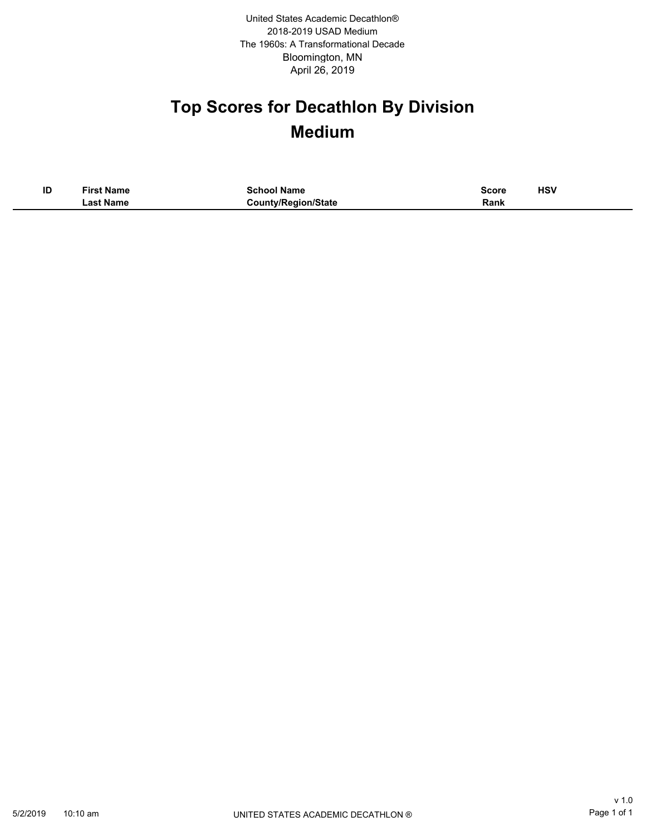Bloomington, MN 2018-2019 USAD Medium The 1960s: A Transformational Decade April 26, 2019 United States Academic Decathlon®

# **Top Scores for Decathlon By Division Medium**

| ID | <b>First Name</b> | <b>School Name</b>         | <b>Score</b> | HSV |
|----|-------------------|----------------------------|--------------|-----|
|    | ∟ast Name         | <b>County/Region/State</b> | Rank         |     |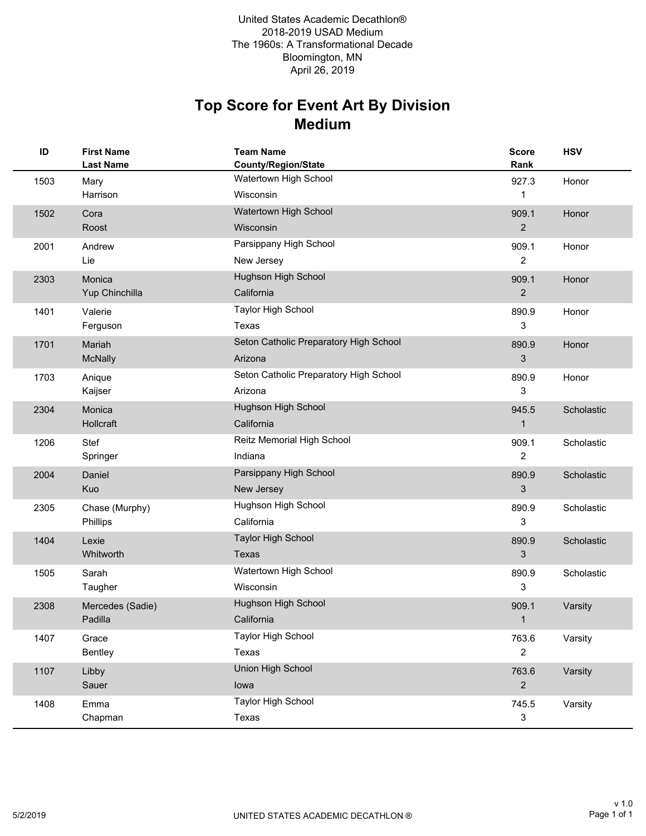### **Medium Top Score for Event Art By Division**

| ID   | <b>First Name</b><br><b>Last Name</b> | <b>Team Name</b><br><b>County/Region/State</b> | <b>Score</b><br>Rank | <b>HSV</b> |
|------|---------------------------------------|------------------------------------------------|----------------------|------------|
| 1503 | Mary                                  | Watertown High School                          | 927.3                | Honor      |
|      | Harrison                              | Wisconsin                                      | 1                    |            |
| 1502 | Cora                                  | Watertown High School                          | 909.1                | Honor      |
|      | Roost                                 | Wisconsin                                      | $\overline{2}$       |            |
| 2001 | Andrew                                | Parsippany High School                         | 909.1                | Honor      |
|      | Lie                                   | New Jersey                                     | $\overline{c}$       |            |
| 2303 | Monica                                | Hughson High School                            | 909.1                | Honor      |
|      | Yup Chinchilla                        | California                                     | $\mathbf{2}$         |            |
| 1401 | Valerie                               | <b>Taylor High School</b>                      | 890.9                | Honor      |
|      | Ferguson                              | Texas                                          | 3                    |            |
| 1701 | Mariah                                | Seton Catholic Preparatory High School         | 890.9                | Honor      |
|      | McNally                               | Arizona                                        | 3                    |            |
| 1703 | Anique                                | Seton Catholic Preparatory High School         | 890.9                | Honor      |
|      | Kaijser                               | Arizona                                        | 3                    |            |
| 2304 | Monica                                | Hughson High School                            | 945.5                | Scholastic |
|      | Hollcraft                             | California                                     | 1                    |            |
| 1206 | Stef                                  | Reitz Memorial High School                     | 909.1                | Scholastic |
|      | Springer                              | Indiana                                        | $\overline{c}$       |            |
| 2004 | Daniel                                | Parsippany High School                         | 890.9                | Scholastic |
|      | Kuo                                   | New Jersey                                     | 3                    |            |
| 2305 | Chase (Murphy)                        | Hughson High School                            | 890.9                | Scholastic |
|      | Phillips                              | California                                     | 3                    |            |
| 1404 | Lexie                                 | <b>Taylor High School</b>                      | 890.9                | Scholastic |
|      | Whitworth                             | <b>Texas</b>                                   | 3                    |            |
| 1505 | Sarah                                 | Watertown High School                          | 890.9                | Scholastic |
|      | Taugher                               | Wisconsin                                      | 3                    |            |
| 2308 | Mercedes (Sadie)                      | Hughson High School                            | 909.1                | Varsity    |
|      | Padilla                               | California                                     | 1                    |            |
| 1407 | Grace                                 | <b>Taylor High School</b>                      | 763.6                | Varsity    |
|      | Bentley                               | Texas                                          | $\mathbf{2}$         |            |
| 1107 | Libby                                 | Union High School                              | 763.6                | Varsity    |
|      | Sauer                                 | lowa                                           | $\overline{2}$       |            |
| 1408 | Emma                                  | <b>Taylor High School</b>                      | 745.5                | Varsity    |
|      | Chapman                               | Texas                                          | $\mathbf{3}$         |            |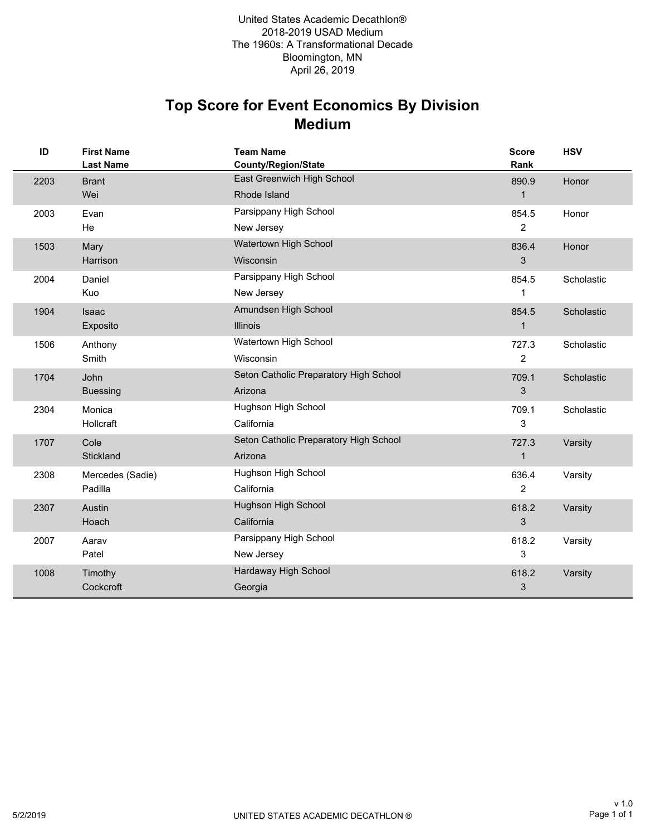## **Medium Top Score for Event Economics By Division**

| ID   | <b>First Name</b><br><b>Last Name</b> | <b>Team Name</b><br><b>County/Region/State</b> | <b>Score</b><br>Rank | <b>HSV</b> |
|------|---------------------------------------|------------------------------------------------|----------------------|------------|
| 2203 | <b>Brant</b>                          | East Greenwich High School                     | 890.9                | Honor      |
|      | Wei                                   | Rhode Island                                   | $\mathbf{1}$         |            |
| 2003 | Evan                                  | Parsippany High School                         | 854.5                | Honor      |
|      | He                                    | New Jersey                                     | 2                    |            |
| 1503 | Mary                                  | Watertown High School                          | 836.4                | Honor      |
|      | Harrison                              | Wisconsin                                      | 3                    |            |
| 2004 | Daniel                                | Parsippany High School                         | 854.5                | Scholastic |
|      | Kuo                                   | New Jersey                                     | 1                    |            |
| 1904 | Isaac                                 | Amundsen High School                           | 854.5                | Scholastic |
|      | Exposito                              | <b>Illinois</b>                                | 1                    |            |
| 1506 | Anthony                               | Watertown High School                          | 727.3                | Scholastic |
|      | Smith                                 | <b>Wisconsin</b>                               | 2                    |            |
| 1704 | John                                  | Seton Catholic Preparatory High School         | 709.1                | Scholastic |
|      | <b>Buessing</b>                       | Arizona                                        | 3                    |            |
| 2304 | Monica                                | Hughson High School                            | 709.1                | Scholastic |
|      | Hollcraft                             | California                                     | 3                    |            |
| 1707 | Cole                                  | Seton Catholic Preparatory High School         | 727.3                | Varsity    |
|      | Stickland                             | Arizona                                        | $\mathbf{1}$         |            |
| 2308 | Mercedes (Sadie)                      | Hughson High School                            | 636.4                | Varsity    |
|      | Padilla                               | California                                     | 2                    |            |
| 2307 | Austin                                | Hughson High School                            | 618.2                | Varsity    |
|      | Hoach                                 | California                                     | 3                    |            |
| 2007 | Aarav                                 | Parsippany High School                         | 618.2                | Varsity    |
|      | Patel                                 | New Jersey                                     | 3                    |            |
| 1008 | Timothy                               | Hardaway High School                           | 618.2                | Varsity    |
|      | Cockcroft                             | Georgia                                        | 3                    |            |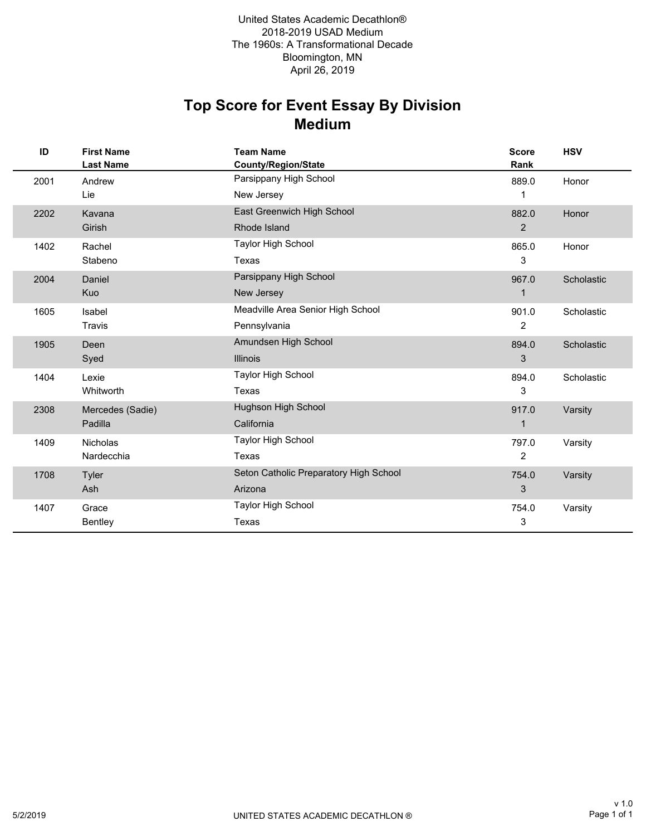### **Medium Top Score for Event Essay By Division**

| ID   | <b>First Name</b><br><b>Last Name</b> | <b>Team Name</b><br><b>County/Region/State</b> | <b>Score</b><br>Rank | <b>HSV</b> |
|------|---------------------------------------|------------------------------------------------|----------------------|------------|
| 2001 | Andrew                                | Parsippany High School                         | 889.0                | Honor      |
|      | Lie                                   | New Jersey                                     | 1                    |            |
| 2202 | Kavana                                | East Greenwich High School                     | 882.0                | Honor      |
|      | Girish                                | Rhode Island                                   | $\overline{2}$       |            |
| 1402 | Rachel                                | <b>Taylor High School</b>                      | 865.0                | Honor      |
|      | Stabeno                               | Texas                                          | 3                    |            |
| 2004 | Daniel                                | Parsippany High School                         | 967.0                | Scholastic |
|      | Kuo                                   | New Jersey                                     | $\mathbf 1$          |            |
| 1605 | Isabel                                | Meadville Area Senior High School              | 901.0                | Scholastic |
|      | Travis                                | Pennsylvania                                   | $\overline{2}$       |            |
| 1905 | Deen                                  | Amundsen High School                           | 894.0                | Scholastic |
|      | Syed                                  | <b>Illinois</b>                                | 3                    |            |
| 1404 | Lexie                                 | <b>Taylor High School</b>                      | 894.0                | Scholastic |
|      | Whitworth                             | Texas                                          | 3                    |            |
| 2308 | Mercedes (Sadie)                      | Hughson High School                            | 917.0                | Varsity    |
|      | Padilla                               | California                                     | $\mathbf{1}$         |            |
| 1409 | <b>Nicholas</b>                       | <b>Taylor High School</b>                      | 797.0                | Varsity    |
|      | Nardecchia                            | Texas                                          | $\overline{2}$       |            |
| 1708 | Tyler                                 | Seton Catholic Preparatory High School         | 754.0                | Varsity    |
|      | Ash                                   | Arizona                                        | 3                    |            |
| 1407 | Grace                                 | <b>Taylor High School</b>                      | 754.0                | Varsity    |
|      | <b>Bentley</b>                        | Texas                                          | 3                    |            |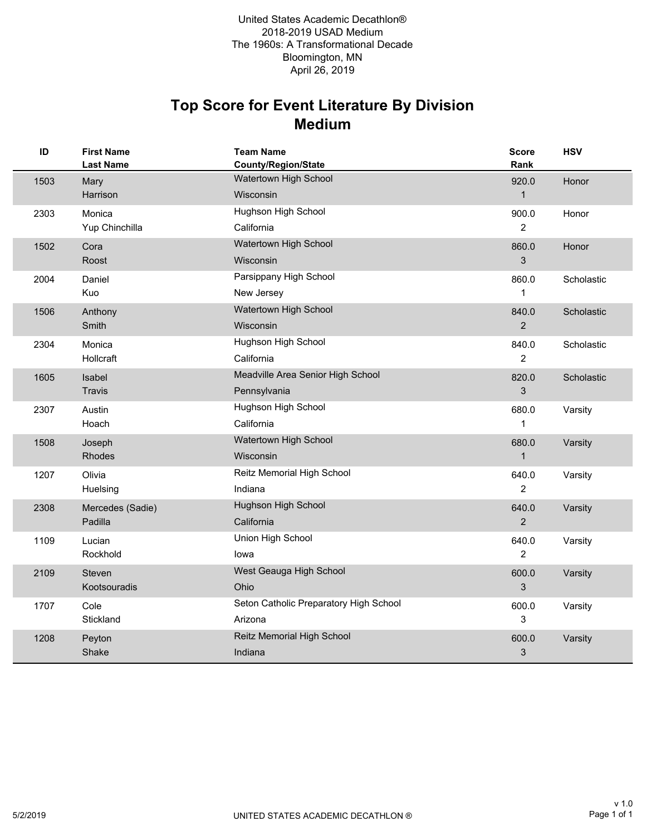#### **Medium Top Score for Event Literature By Division**

| ID   | <b>First Name</b><br><b>Last Name</b> | <b>Team Name</b><br><b>County/Region/State</b>    | <b>Score</b><br>Rank    | <b>HSV</b> |
|------|---------------------------------------|---------------------------------------------------|-------------------------|------------|
| 1503 | Mary<br>Harrison                      | Watertown High School<br>Wisconsin                | 920.0<br>$\mathbf{1}$   | Honor      |
| 2303 | Monica<br>Yup Chinchilla              | Hughson High School<br>California                 | 900.0<br>$\overline{2}$ | Honor      |
| 1502 | Cora<br>Roost                         | Watertown High School<br>Wisconsin                | 860.0<br>3              | Honor      |
| 2004 | Daniel<br>Kuo                         | Parsippany High School<br>New Jersey              | 860.0<br>1              | Scholastic |
| 1506 | Anthony<br>Smith                      | Watertown High School<br>Wisconsin                | 840.0<br>$\overline{2}$ | Scholastic |
| 2304 | Monica<br>Hollcraft                   | Hughson High School<br>California                 | 840.0<br>$\overline{c}$ | Scholastic |
| 1605 | Isabel<br><b>Travis</b>               | Meadville Area Senior High School<br>Pennsylvania | 820.0<br>3              | Scholastic |
| 2307 | Austin<br>Hoach                       | Hughson High School<br>California                 | 680.0<br>$\mathbf{1}$   | Varsity    |
| 1508 | Joseph<br>Rhodes                      | Watertown High School<br>Wisconsin                | 680.0<br>$\mathbf{1}$   | Varsity    |
| 1207 | Olivia<br>Huelsing                    | Reitz Memorial High School<br>Indiana             | 640.0<br>2              | Varsity    |
| 2308 | Mercedes (Sadie)<br>Padilla           | Hughson High School<br>California                 | 640.0<br>$\overline{2}$ | Varsity    |
| 1109 | Lucian<br>Rockhold                    | Union High School<br>lowa                         | 640.0<br>$\overline{c}$ | Varsity    |
| 2109 | <b>Steven</b><br>Kootsouradis         | West Geauga High School<br>Ohio                   | 600.0<br>3              | Varsity    |
| 1707 | Cole<br>Stickland                     | Seton Catholic Preparatory High School<br>Arizona | 600.0<br>3              | Varsity    |
| 1208 | Peyton<br>Shake                       | Reitz Memorial High School<br>Indiana             | 600.0<br>3              | Varsity    |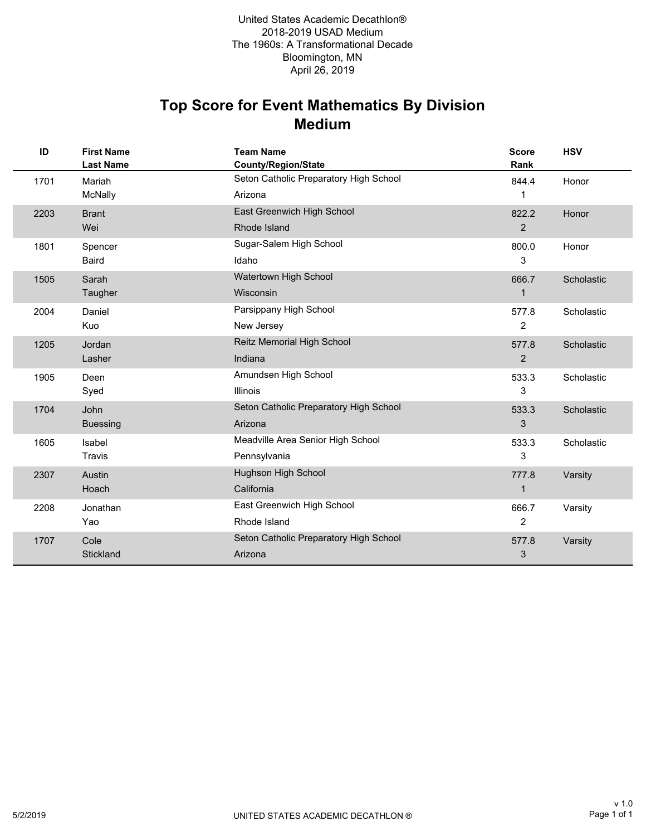#### **Medium Top Score for Event Mathematics By Division**

| ID   | <b>First Name</b><br><b>Last Name</b> | <b>Team Name</b><br><b>County/Region/State</b> | <b>Score</b><br>Rank | <b>HSV</b> |
|------|---------------------------------------|------------------------------------------------|----------------------|------------|
| 1701 | Mariah                                | Seton Catholic Preparatory High School         | 844.4                | Honor      |
|      | McNally                               | Arizona                                        | 1                    |            |
| 2203 | <b>Brant</b>                          | East Greenwich High School                     | 822.2                | Honor      |
|      | Wei                                   | Rhode Island                                   | 2                    |            |
| 1801 | Spencer                               | Sugar-Salem High School                        | 800.0                | Honor      |
|      | <b>Baird</b>                          | Idaho                                          | 3                    |            |
| 1505 | Sarah                                 | Watertown High School                          | 666.7                | Scholastic |
|      | Taugher                               | Wisconsin                                      | $\mathbf{1}$         |            |
| 2004 | Daniel                                | Parsippany High School                         | 577.8                | Scholastic |
|      | Kuo                                   | New Jersey                                     | $\overline{2}$       |            |
| 1205 | Jordan                                | Reitz Memorial High School                     | 577.8                | Scholastic |
|      | Lasher                                | Indiana                                        | 2                    |            |
| 1905 | Deen                                  | Amundsen High School                           | 533.3                | Scholastic |
|      | Syed                                  | <b>Illinois</b>                                | 3                    |            |
| 1704 | John                                  | Seton Catholic Preparatory High School         | 533.3                | Scholastic |
|      | <b>Buessing</b>                       | Arizona                                        | 3                    |            |
| 1605 | Isabel                                | Meadville Area Senior High School              | 533.3                | Scholastic |
|      | Travis                                | Pennsylvania                                   | 3                    |            |
| 2307 | Austin                                | Hughson High School                            | 777.8                | Varsity    |
|      | Hoach                                 | California                                     | $\mathbf 1$          |            |
| 2208 | Jonathan                              | East Greenwich High School                     | 666.7                | Varsity    |
|      | Yao                                   | Rhode Island                                   | 2                    |            |
| 1707 | Cole                                  | Seton Catholic Preparatory High School         | 577.8                | Varsity    |
|      | Stickland                             | Arizona                                        | 3                    |            |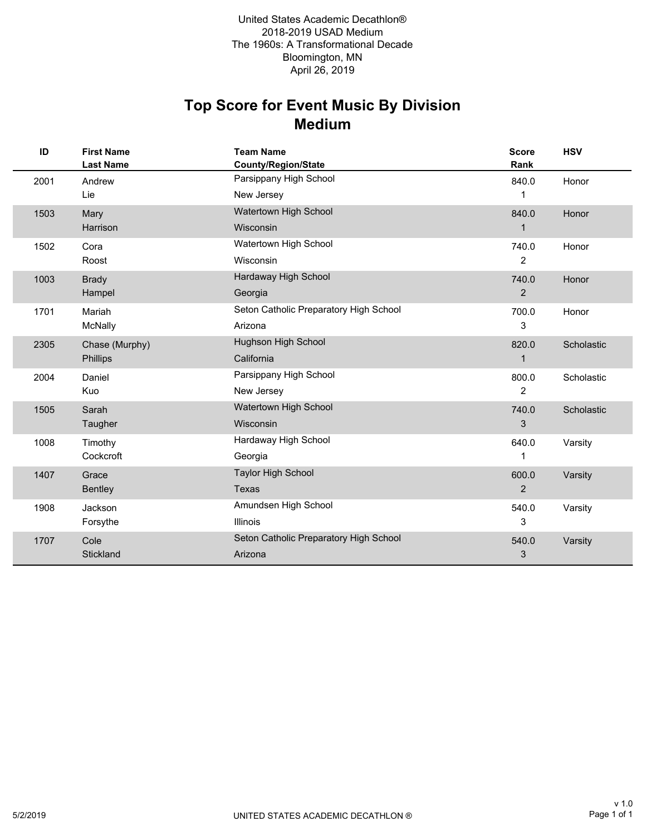### **Medium Top Score for Event Music By Division**

| ID   | <b>First Name</b><br><b>Last Name</b> | <b>Team Name</b><br>County/Region/State | <b>Score</b><br>Rank | <b>HSV</b> |
|------|---------------------------------------|-----------------------------------------|----------------------|------------|
| 2001 | Andrew                                | Parsippany High School                  | 840.0                | Honor      |
|      | Lie                                   | New Jersey                              | 1                    |            |
| 1503 | Mary                                  | Watertown High School                   | 840.0                | Honor      |
|      | Harrison                              | Wisconsin                               | 1                    |            |
| 1502 | Cora                                  | Watertown High School                   | 740.0                | Honor      |
|      | Roost                                 | Wisconsin                               | $\overline{2}$       |            |
| 1003 | <b>Brady</b>                          | Hardaway High School                    | 740.0                | Honor      |
|      | Hampel                                | Georgia                                 | 2                    |            |
| 1701 | Mariah                                | Seton Catholic Preparatory High School  | 700.0                | Honor      |
|      | McNally                               | Arizona                                 | 3                    |            |
| 2305 | Chase (Murphy)                        | Hughson High School                     | 820.0                | Scholastic |
|      | Phillips                              | California                              | $\mathbf{1}$         |            |
| 2004 | Daniel                                | Parsippany High School                  | 800.0                | Scholastic |
|      | Kuo                                   | New Jersey                              | $\overline{2}$       |            |
| 1505 | Sarah                                 | Watertown High School                   | 740.0                | Scholastic |
|      | Taugher                               | Wisconsin                               | 3                    |            |
| 1008 | Timothy                               | Hardaway High School                    | 640.0                | Varsity    |
|      | Cockcroft                             | Georgia                                 | 1                    |            |
| 1407 | Grace                                 | <b>Taylor High School</b>               | 600.0                | Varsity    |
|      | Bentley                               | <b>Texas</b>                            | $\overline{2}$       |            |
| 1908 | Jackson                               | Amundsen High School                    | 540.0                | Varsity    |
|      | Forsythe                              | <b>Illinois</b>                         | 3                    |            |
| 1707 | Cole                                  | Seton Catholic Preparatory High School  | 540.0                | Varsity    |
|      | Stickland                             | Arizona                                 | 3                    |            |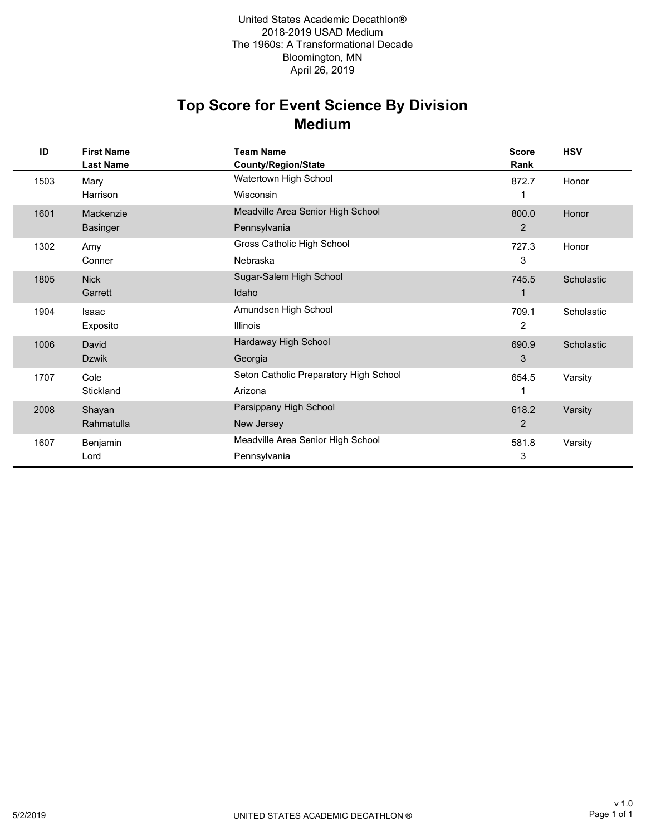#### **Medium Top Score for Event Science By Division**

| ID   | <b>First Name</b><br><b>Last Name</b> | <b>Team Name</b><br><b>County/Region/State</b> | <b>Score</b><br>Rank | <b>HSV</b> |
|------|---------------------------------------|------------------------------------------------|----------------------|------------|
| 1503 | Mary                                  | Watertown High School                          | 872.7                | Honor      |
|      | Harrison                              | Wisconsin                                      |                      |            |
| 1601 | Mackenzie                             | Meadville Area Senior High School              | 800.0                | Honor      |
|      | <b>Basinger</b>                       | Pennsylvania                                   | $\overline{2}$       |            |
| 1302 | Amy                                   | Gross Catholic High School                     | 727.3                | Honor      |
|      | Conner                                | Nebraska                                       | 3                    |            |
| 1805 | <b>Nick</b>                           | Sugar-Salem High School                        | 745.5                | Scholastic |
|      | Garrett                               | Idaho                                          |                      |            |
| 1904 | Isaac                                 | Amundsen High School                           | 709.1                | Scholastic |
|      | Exposito                              | <b>Illinois</b>                                | 2                    |            |
| 1006 | David                                 | Hardaway High School                           | 690.9                | Scholastic |
|      | <b>Dzwik</b>                          | Georgia                                        | 3                    |            |
| 1707 | Cole                                  | Seton Catholic Preparatory High School         | 654.5                | Varsity    |
|      | Stickland                             | Arizona                                        | 1                    |            |
| 2008 | Shayan                                | Parsippany High School                         | 618.2                | Varsity    |
|      | Rahmatulla                            | New Jersey                                     | 2                    |            |
| 1607 | Benjamin                              | Meadville Area Senior High School              | 581.8                | Varsity    |
|      | Lord                                  | Pennsylvania                                   | 3                    |            |